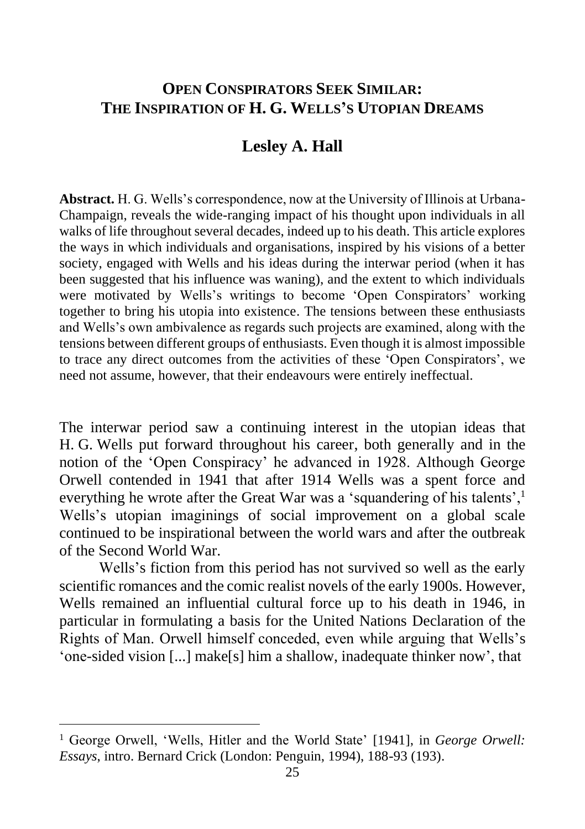## **OPEN CONSPIRATORS SEEK SIMILAR: THE INSPIRATION OF H. G. WELLS'S UTOPIAN DREAMS**

## **Lesley A. Hall**

**Abstract.** H. G. Wells's correspondence, now at the University of Illinois at Urbana-Champaign, reveals the wide-ranging impact of his thought upon individuals in all walks of life throughout several decades, indeed up to his death. This article explores the ways in which individuals and organisations, inspired by his visions of a better society, engaged with Wells and his ideas during the interwar period (when it has been suggested that his influence was waning), and the extent to which individuals were motivated by Wells's writings to become 'Open Conspirators' working together to bring his utopia into existence. The tensions between these enthusiasts and Wells's own ambivalence as regards such projects are examined, along with the tensions between different groups of enthusiasts. Even though it is almost impossible to trace any direct outcomes from the activities of these 'Open Conspirators', we need not assume, however, that their endeavours were entirely ineffectual.

The interwar period saw a continuing interest in the utopian ideas that H. G. Wells put forward throughout his career, both generally and in the notion of the 'Open Conspiracy' he advanced in 1928. Although George Orwell contended in 1941 that after 1914 Wells was a spent force and everything he wrote after the Great War was a 'squandering of his talents',<sup>1</sup> Wells's utopian imaginings of social improvement on a global scale continued to be inspirational between the world wars and after the outbreak of the Second World War.

Wells's fiction from this period has not survived so well as the early scientific romances and the comic realist novels of the early 1900s. However, Wells remained an influential cultural force up to his death in 1946, in particular in formulating a basis for the United Nations Declaration of the Rights of Man. Orwell himself conceded, even while arguing that Wells's 'one-sided vision [...] make[s] him a shallow, inadequate thinker now', that

<sup>&</sup>lt;sup>1</sup> George Orwell, 'Wells, Hitler and the World State' [1941], in *George Orwell: Essays*, intro. Bernard Crick (London: Penguin, 1994), 188-93 (193).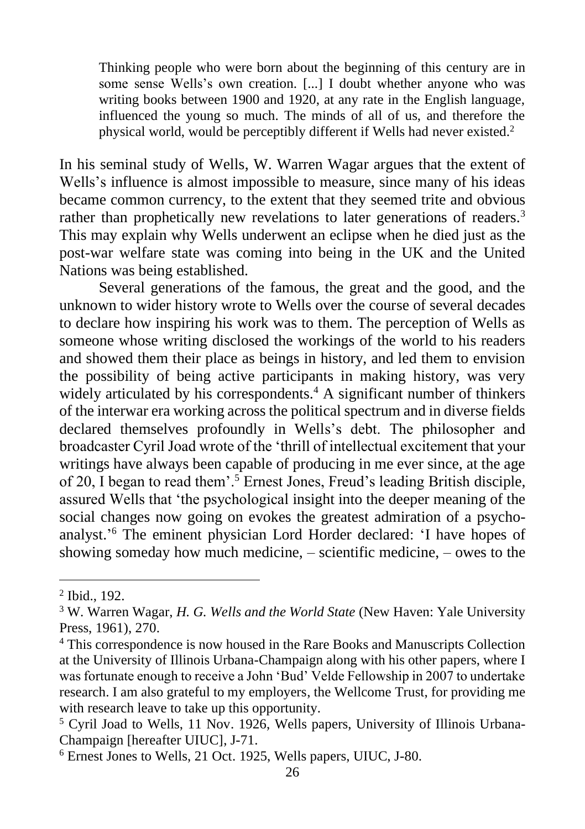Thinking people who were born about the beginning of this century are in some sense Wells's own creation. [...] I doubt whether anyone who was writing books between 1900 and 1920, at any rate in the English language, influenced the young so much. The minds of all of us, and therefore the physical world, would be perceptibly different if Wells had never existed.<sup>2</sup>

In his seminal study of Wells, W. Warren Wagar argues that the extent of Wells's influence is almost impossible to measure, since many of his ideas became common currency, to the extent that they seemed trite and obvious rather than prophetically new revelations to later generations of readers.<sup>3</sup> This may explain why Wells underwent an eclipse when he died just as the post-war welfare state was coming into being in the UK and the United Nations was being established.

Several generations of the famous, the great and the good, and the unknown to wider history wrote to Wells over the course of several decades to declare how inspiring his work was to them. The perception of Wells as someone whose writing disclosed the workings of the world to his readers and showed them their place as beings in history, and led them to envision the possibility of being active participants in making history, was very widely articulated by his correspondents.<sup>4</sup> A significant number of thinkers of the interwar era working across the political spectrum and in diverse fields declared themselves profoundly in Wells's debt. The philosopher and broadcaster Cyril Joad wrote of the 'thrill of intellectual excitement that your writings have always been capable of producing in me ever since, at the age of 20, I began to read them'.<sup>5</sup> Ernest Jones, Freud's leading British disciple, assured Wells that 'the psychological insight into the deeper meaning of the social changes now going on evokes the greatest admiration of a psychoanalyst.' <sup>6</sup> The eminent physician Lord Horder declared: 'I have hopes of showing someday how much medicine, – scientific medicine, – owes to the

<sup>2</sup> Ibid., 192.

<sup>3</sup> W. Warren Wagar, *H. G. Wells and the World State* (New Haven: Yale University Press, 1961), 270.

<sup>4</sup> This correspondence is now housed in the Rare Books and Manuscripts Collection at the University of Illinois Urbana-Champaign along with his other papers, where I was fortunate enough to receive a John 'Bud' Velde Fellowship in 2007 to undertake research. I am also grateful to my employers, the Wellcome Trust, for providing me with research leave to take up this opportunity.

<sup>5</sup> Cyril Joad to Wells, 11 Nov. 1926, Wells papers, University of Illinois Urbana-Champaign [hereafter UIUC], J-71.

<sup>6</sup> Ernest Jones to Wells, 21 Oct. 1925, Wells papers, UIUC, J-80.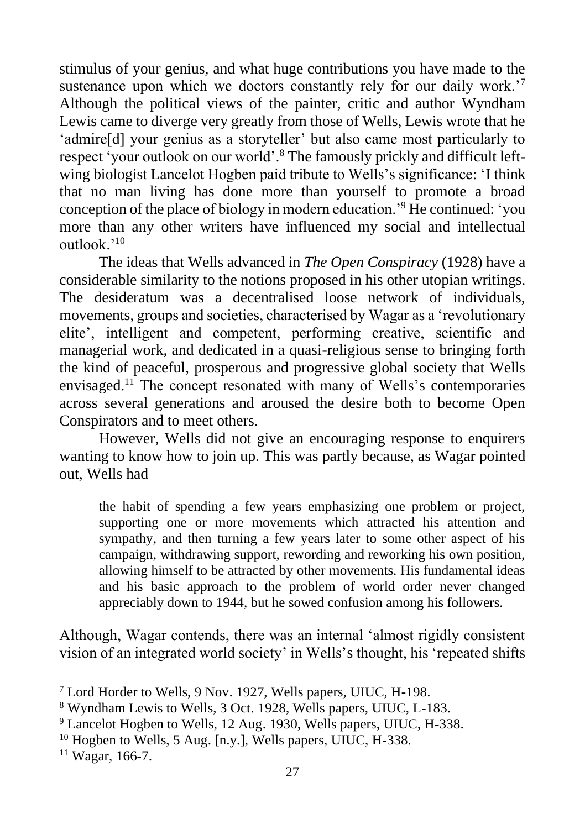stimulus of your genius, and what huge contributions you have made to the sustenance upon which we doctors constantly rely for our daily work.<sup>'7</sup> Although the political views of the painter, critic and author Wyndham Lewis came to diverge very greatly from those of Wells, Lewis wrote that he 'admire[d] your genius as a storyteller' but also came most particularly to respect 'your outlook on our world'.<sup>8</sup> The famously prickly and difficult leftwing biologist Lancelot Hogben paid tribute to Wells's significance: 'I think that no man living has done more than yourself to promote a broad conception of the place of biology in modern education.'<sup>9</sup> He continued: 'you more than any other writers have influenced my social and intellectual outlook.'<sup>10</sup>

The ideas that Wells advanced in *The Open Conspiracy* (1928) have a considerable similarity to the notions proposed in his other utopian writings. The desideratum was a decentralised loose network of individuals, movements, groups and societies, characterised by Wagar as a 'revolutionary elite', intelligent and competent, performing creative, scientific and managerial work, and dedicated in a quasi-religious sense to bringing forth the kind of peaceful, prosperous and progressive global society that Wells envisaged.<sup>11</sup> The concept resonated with many of Wells's contemporaries across several generations and aroused the desire both to become Open Conspirators and to meet others.

However, Wells did not give an encouraging response to enquirers wanting to know how to join up. This was partly because, as Wagar pointed out, Wells had

the habit of spending a few years emphasizing one problem or project, supporting one or more movements which attracted his attention and sympathy, and then turning a few years later to some other aspect of his campaign, withdrawing support, rewording and reworking his own position, allowing himself to be attracted by other movements. His fundamental ideas and his basic approach to the problem of world order never changed appreciably down to 1944, but he sowed confusion among his followers.

Although, Wagar contends, there was an internal 'almost rigidly consistent vision of an integrated world society' in Wells's thought, his 'repeated shifts

<sup>7</sup> Lord Horder to Wells, 9 Nov. 1927, Wells papers, UIUC, H-198.

<sup>8</sup> Wyndham Lewis to Wells, 3 Oct. 1928, Wells papers, UIUC, L-183.

<sup>9</sup> Lancelot Hogben to Wells, 12 Aug. 1930, Wells papers, UIUC, H-338.

<sup>&</sup>lt;sup>10</sup> Hogben to Wells, 5 Aug. [n.y.], Wells papers, UIUC, H-338.

<sup>11</sup> Wagar, 166-7.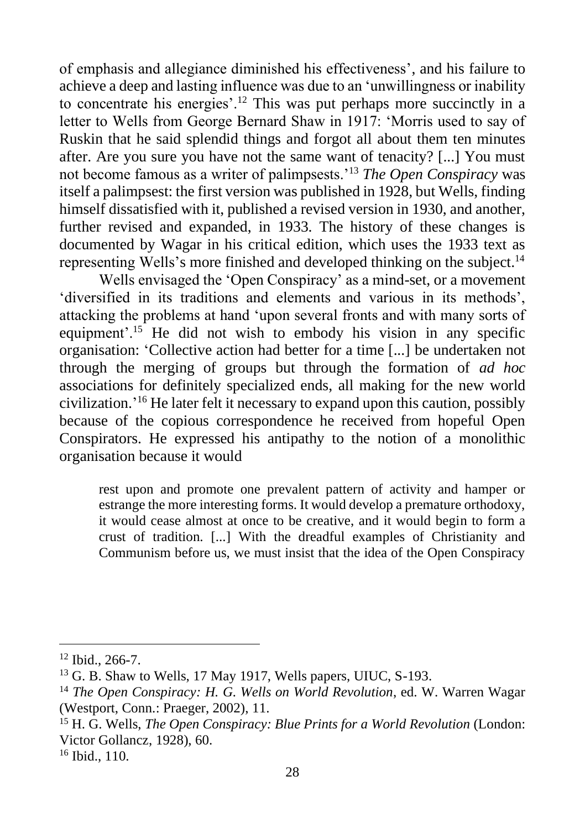of emphasis and allegiance diminished his effectiveness', and his failure to achieve a deep and lasting influence was due to an 'unwillingness or inability to concentrate his energies'.<sup>12</sup> This was put perhaps more succinctly in a letter to Wells from George Bernard Shaw in 1917: 'Morris used to say of Ruskin that he said splendid things and forgot all about them ten minutes after. Are you sure you have not the same want of tenacity? [...] You must not become famous as a writer of palimpsests.'<sup>13</sup> *The Open Conspiracy* was itself a palimpsest: the first version was published in 1928, but Wells, finding himself dissatisfied with it, published a revised version in 1930, and another, further revised and expanded, in 1933. The history of these changes is documented by Wagar in his critical edition, which uses the 1933 text as representing Wells's more finished and developed thinking on the subject.<sup>14</sup>

Wells envisaged the 'Open Conspiracy' as a mind-set, or a movement 'diversified in its traditions and elements and various in its methods', attacking the problems at hand 'upon several fronts and with many sorts of equipment'.<sup>15</sup> He did not wish to embody his vision in any specific organisation: 'Collective action had better for a time [...] be undertaken not through the merging of groups but through the formation of *ad hoc* associations for definitely specialized ends, all making for the new world civilization.' <sup>16</sup> He later felt it necessary to expand upon this caution, possibly because of the copious correspondence he received from hopeful Open Conspirators. He expressed his antipathy to the notion of a monolithic organisation because it would

rest upon and promote one prevalent pattern of activity and hamper or estrange the more interesting forms. It would develop a premature orthodoxy, it would cease almost at once to be creative, and it would begin to form a crust of tradition. [...] With the dreadful examples of Christianity and Communism before us, we must insist that the idea of the Open Conspiracy

<sup>12</sup> Ibid., 266-7.

<sup>&</sup>lt;sup>13</sup> G. B. Shaw to Wells, 17 May 1917, Wells papers, UIUC, S-193.

<sup>14</sup> *The Open Conspiracy: H. G. Wells on World Revolution*, ed. W. Warren Wagar (Westport, Conn.: Praeger, 2002), 11.

<sup>15</sup> H. G. Wells, *The Open Conspiracy: Blue Prints for a World Revolution* (London: Victor Gollancz, 1928), 60.

<sup>16</sup> Ibid., 110.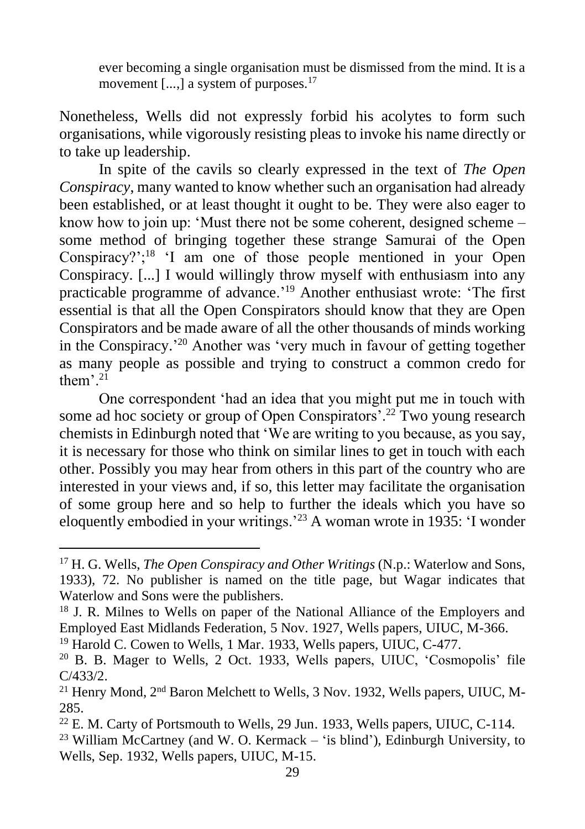ever becoming a single organisation must be dismissed from the mind. It is a movement [...,] a system of purposes.<sup>17</sup>

Nonetheless, Wells did not expressly forbid his acolytes to form such organisations, while vigorously resisting pleas to invoke his name directly or to take up leadership.

In spite of the cavils so clearly expressed in the text of *The Open Conspiracy*, many wanted to know whether such an organisation had already been established, or at least thought it ought to be. They were also eager to know how to join up: 'Must there not be some coherent, designed scheme – some method of bringing together these strange Samurai of the Open Conspiracy?';<sup>18</sup> 'I am one of those people mentioned in your Open Conspiracy. [...] I would willingly throw myself with enthusiasm into any practicable programme of advance.'<sup>19</sup> Another enthusiast wrote: 'The first essential is that all the Open Conspirators should know that they are Open Conspirators and be made aware of all the other thousands of minds working in the Conspiracy.' <sup>20</sup> Another was 'very much in favour of getting together as many people as possible and trying to construct a common credo for them<sup> $, 2i$ </sup>

One correspondent 'had an idea that you might put me in touch with some ad hoc society or group of Open Conspirators'.<sup>22</sup> Two young research chemists in Edinburgh noted that 'We are writing to you because, as you say, it is necessary for those who think on similar lines to get in touch with each other. Possibly you may hear from others in this part of the country who are interested in your views and, if so, this letter may facilitate the organisation of some group here and so help to further the ideals which you have so eloquently embodied in your writings.'<sup>23</sup> A woman wrote in 1935: 'I wonder

<sup>17</sup> H. G. Wells, *The Open Conspiracy and Other Writings* (N.p.: Waterlow and Sons, 1933), 72. No publisher is named on the title page, but Wagar indicates that Waterlow and Sons were the publishers.

<sup>18</sup> J. R. Milnes to Wells on paper of the National Alliance of the Employers and Employed East Midlands Federation, 5 Nov. 1927, Wells papers, UIUC, M-366.

<sup>&</sup>lt;sup>19</sup> Harold C. Cowen to Wells, 1 Mar. 1933, Wells papers, UIUC, C-477.

<sup>20</sup> B. B. Mager to Wells, 2 Oct. 1933, Wells papers, UIUC, 'Cosmopolis' file C/433/2.

<sup>&</sup>lt;sup>21</sup> Henry Mond,  $2<sup>nd</sup>$  Baron Melchett to Wells, 3 Nov. 1932, Wells papers, UIUC, M-285.

<sup>&</sup>lt;sup>22</sup> E. M. Carty of Portsmouth to Wells, 29 Jun. 1933, Wells papers, UIUC, C-114.

 $23$  William McCartney (and W. O. Kermack – 'is blind'), Edinburgh University, to Wells, Sep. 1932, Wells papers, UIUC, M-15.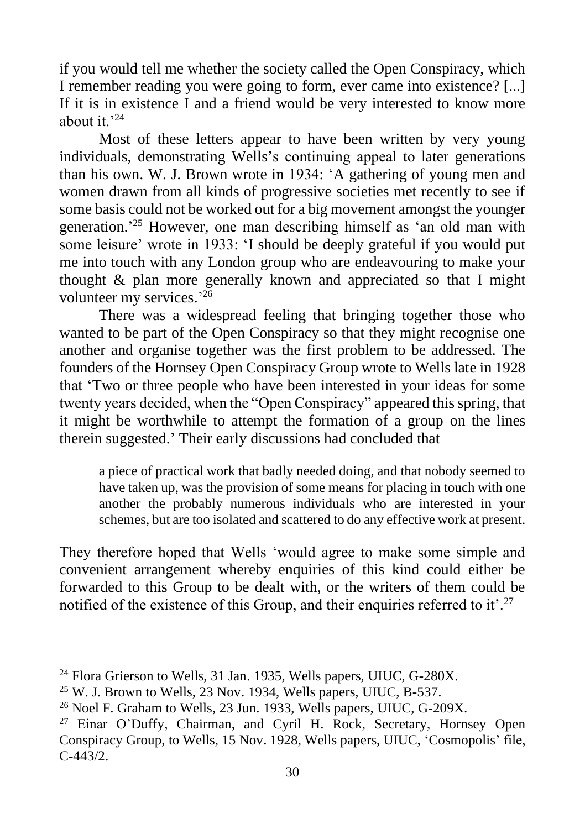if you would tell me whether the society called the Open Conspiracy, which I remember reading you were going to form, ever came into existence? [...] If it is in existence I and a friend would be very interested to know more about it.'<sup>24</sup>

Most of these letters appear to have been written by very young individuals, demonstrating Wells's continuing appeal to later generations than his own. W. J. Brown wrote in 1934: 'A gathering of young men and women drawn from all kinds of progressive societies met recently to see if some basis could not be worked out for a big movement amongst the younger generation.' <sup>25</sup> However, one man describing himself as 'an old man with some leisure' wrote in 1933: 'I should be deeply grateful if you would put me into touch with any London group who are endeavouring to make your thought & plan more generally known and appreciated so that I might volunteer my services.'26

There was a widespread feeling that bringing together those who wanted to be part of the Open Conspiracy so that they might recognise one another and organise together was the first problem to be addressed. The founders of the Hornsey Open Conspiracy Group wrote to Wells late in 1928 that 'Two or three people who have been interested in your ideas for some twenty years decided, when the "Open Conspiracy" appeared this spring, that it might be worthwhile to attempt the formation of a group on the lines therein suggested.' Their early discussions had concluded that

a piece of practical work that badly needed doing, and that nobody seemed to have taken up, was the provision of some means for placing in touch with one another the probably numerous individuals who are interested in your schemes, but are too isolated and scattered to do any effective work at present.

They therefore hoped that Wells 'would agree to make some simple and convenient arrangement whereby enquiries of this kind could either be forwarded to this Group to be dealt with, or the writers of them could be notified of the existence of this Group, and their enquiries referred to it'.<sup>27</sup>

<sup>&</sup>lt;sup>24</sup> Flora Grierson to Wells, 31 Jan. 1935, Wells papers, UIUC, G-280X.

 $25$  W. J. Brown to Wells, 23 Nov. 1934, Wells papers, UIUC, B-537.

<sup>&</sup>lt;sup>26</sup> Noel F. Graham to Wells, 23 Jun. 1933, Wells papers, UIUC, G-209X.

<sup>&</sup>lt;sup>27</sup> Einar O'Duffy, Chairman, and Cyril H. Rock, Secretary, Hornsey Open Conspiracy Group, to Wells, 15 Nov. 1928, Wells papers, UIUC, 'Cosmopolis' file, C-443/2.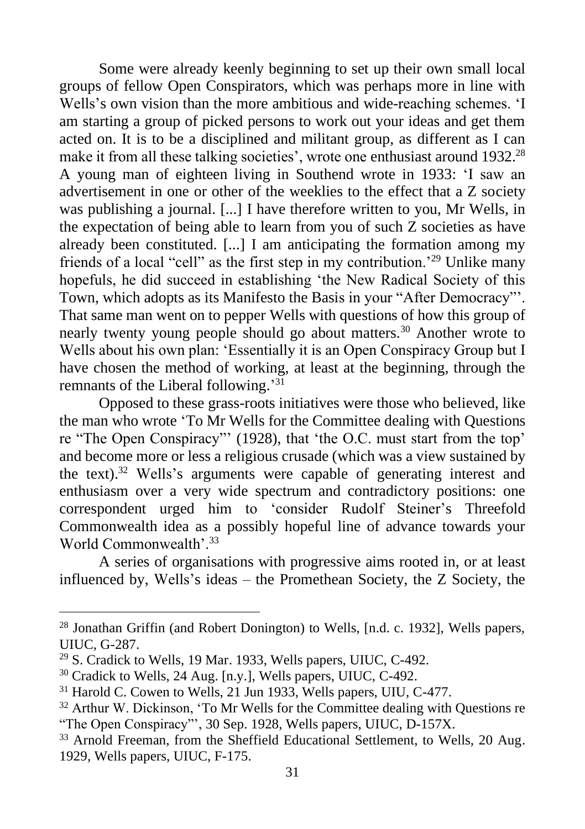Some were already keenly beginning to set up their own small local groups of fellow Open Conspirators, which was perhaps more in line with Wells's own vision than the more ambitious and wide-reaching schemes. 'I am starting a group of picked persons to work out your ideas and get them acted on. It is to be a disciplined and militant group, as different as I can make it from all these talking societies', wrote one enthusiast around 1932.<sup>28</sup> A young man of eighteen living in Southend wrote in 1933: 'I saw an advertisement in one or other of the weeklies to the effect that a Z society was publishing a journal. [...] I have therefore written to you, Mr Wells, in the expectation of being able to learn from you of such Z societies as have already been constituted. [...] I am anticipating the formation among my friends of a local "cell" as the first step in my contribution.'<sup>29</sup> Unlike many hopefuls, he did succeed in establishing 'the New Radical Society of this Town, which adopts as its Manifesto the Basis in your "After Democracy"'. That same man went on to pepper Wells with questions of how this group of nearly twenty young people should go about matters.<sup>30</sup> Another wrote to Wells about his own plan: 'Essentially it is an Open Conspiracy Group but I have chosen the method of working, at least at the beginning, through the remnants of the Liberal following.'<sup>31</sup>

Opposed to these grass-roots initiatives were those who believed, like the man who wrote 'To Mr Wells for the Committee dealing with Questions re "The Open Conspiracy"' (1928), that 'the O.C. must start from the top' and become more or less a religious crusade (which was a view sustained by the text).<sup>32</sup> Wells's arguments were capable of generating interest and enthusiasm over a very wide spectrum and contradictory positions: one correspondent urged him to 'consider Rudolf Steiner's Threefold Commonwealth idea as a possibly hopeful line of advance towards your World Commonwealth'.<sup>33</sup>

A series of organisations with progressive aims rooted in, or at least influenced by, Wells's ideas – the Promethean Society, the Z Society, the

<sup>28</sup> Jonathan Griffin (and Robert Donington) to Wells, [n.d. c. 1932], Wells papers, UIUC, G-287.

<sup>29</sup> S. Cradick to Wells, 19 Mar. 1933, Wells papers, UIUC, C-492.

<sup>30</sup> Cradick to Wells, 24 Aug. [n.y.], Wells papers, UIUC, C-492.

 $31$  Harold C. Cowen to Wells, 21 Jun 1933, Wells papers, UIU, C-477.

<sup>&</sup>lt;sup>32</sup> Arthur W. Dickinson, 'To Mr Wells for the Committee dealing with Questions re "The Open Conspiracy"', 30 Sep. 1928, Wells papers, UIUC, D-157X.

<sup>&</sup>lt;sup>33</sup> Arnold Freeman, from the Sheffield Educational Settlement, to Wells, 20 Aug. 1929, Wells papers, UIUC, F-175.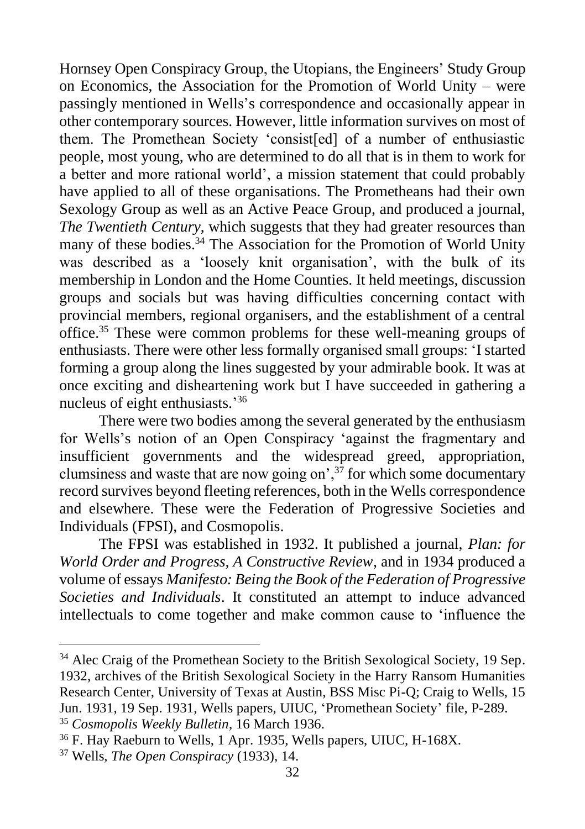Hornsey Open Conspiracy Group, the Utopians, the Engineers' Study Group on Economics, the Association for the Promotion of World Unity – were passingly mentioned in Wells's correspondence and occasionally appear in other contemporary sources. However, little information survives on most of them. The Promethean Society 'consist[ed] of a number of enthusiastic people, most young, who are determined to do all that is in them to work for a better and more rational world', a mission statement that could probably have applied to all of these organisations. The Prometheans had their own Sexology Group as well as an Active Peace Group, and produced a journal, *The Twentieth Century*, which suggests that they had greater resources than many of these bodies.<sup>34</sup> The Association for the Promotion of World Unity was described as a 'loosely knit organisation', with the bulk of its membership in London and the Home Counties. It held meetings, discussion groups and socials but was having difficulties concerning contact with provincial members, regional organisers, and the establishment of a central office.<sup>35</sup> These were common problems for these well-meaning groups of enthusiasts. There were other less formally organised small groups: 'I started forming a group along the lines suggested by your admirable book. It was at once exciting and disheartening work but I have succeeded in gathering a nucleus of eight enthusiasts.'36

There were two bodies among the several generated by the enthusiasm for Wells's notion of an Open Conspiracy 'against the fragmentary and insufficient governments and the widespread greed, appropriation, clumsiness and waste that are now going on',  $3\overline{7}$  for which some documentary record survives beyond fleeting references, both in the Wells correspondence and elsewhere. These were the Federation of Progressive Societies and Individuals (FPSI), and Cosmopolis.

The FPSI was established in 1932. It published a journal, *Plan: for World Order and Progress, A Constructive Review*, and in 1934 produced a volume of essays *Manifesto: Being the Book of the Federation of Progressive Societies and Individuals*. It constituted an attempt to induce advanced intellectuals to come together and make common cause to 'influence the

<sup>&</sup>lt;sup>34</sup> Alec Craig of the Promethean Society to the British Sexological Society, 19 Sep. 1932, archives of the British Sexological Society in the Harry Ransom Humanities Research Center, University of Texas at Austin, BSS Misc Pi-Q; Craig to Wells, 15 Jun. 1931, 19 Sep. 1931, Wells papers, UIUC, 'Promethean Society' file, P-289. <sup>35</sup> *Cosmopolis Weekly Bulletin*, 16 March 1936.

<sup>36</sup> F. Hay Raeburn to Wells, 1 Apr. 1935, Wells papers, UIUC, H-168X.

<sup>37</sup> Wells, *The Open Conspiracy* (1933), 14.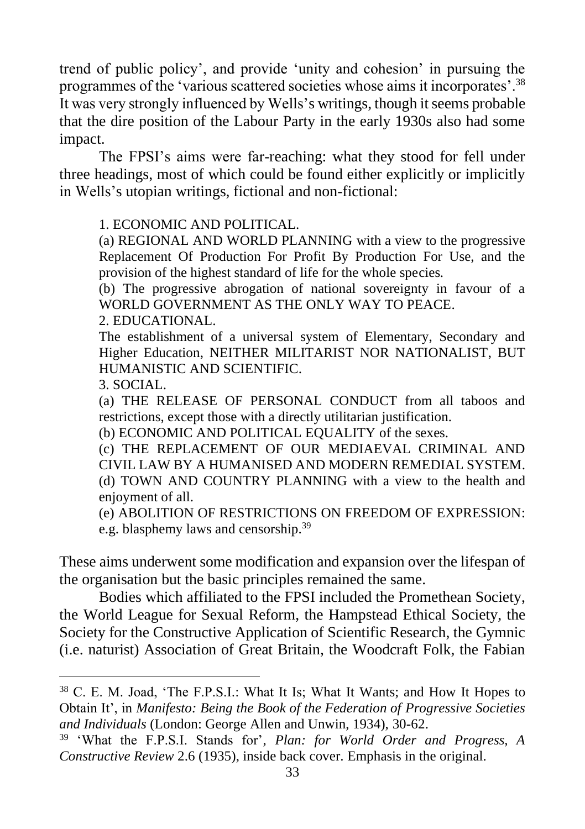trend of public policy', and provide 'unity and cohesion' in pursuing the programmes of the 'various scattered societies whose aims it incorporates'.<sup>38</sup> It was very strongly influenced by Wells's writings, though it seems probable that the dire position of the Labour Party in the early 1930s also had some impact.

The FPSI's aims were far-reaching: what they stood for fell under three headings, most of which could be found either explicitly or implicitly in Wells's utopian writings, fictional and non-fictional:

1. ECONOMIC AND POLITICAL.

(a) REGIONAL AND WORLD PLANNING with a view to the progressive Replacement Of Production For Profit By Production For Use, and the provision of the highest standard of life for the whole species.

(b) The progressive abrogation of national sovereignty in favour of a WORLD GOVERNMENT AS THE ONLY WAY TO PEACE.

2. EDUCATIONAL.

The establishment of a universal system of Elementary, Secondary and Higher Education, NEITHER MILITARIST NOR NATIONALIST, BUT HUMANISTIC AND SCIENTIFIC.

3. SOCIAL.

(a) THE RELEASE OF PERSONAL CONDUCT from all taboos and restrictions, except those with a directly utilitarian justification.

(b) ECONOMIC AND POLITICAL EQUALITY of the sexes.

(c) THE REPLACEMENT OF OUR MEDIAEVAL CRIMINAL AND CIVIL LAW BY A HUMANISED AND MODERN REMEDIAL SYSTEM. (d) TOWN AND COUNTRY PLANNING with a view to the health and enjoyment of all.

(e) ABOLITION OF RESTRICTIONS ON FREEDOM OF EXPRESSION: e.g. blasphemy laws and censorship.<sup>39</sup>

These aims underwent some modification and expansion over the lifespan of the organisation but the basic principles remained the same.

Bodies which affiliated to the FPSI included the Promethean Society, the World League for Sexual Reform, the Hampstead Ethical Society, the Society for the Constructive Application of Scientific Research, the Gymnic (i.e. naturist) Association of Great Britain, the Woodcraft Folk, the Fabian

<sup>38</sup> C. E. M. Joad, 'The F.P.S.I.: What It Is; What It Wants; and How It Hopes to Obtain It', in *Manifesto: Being the Book of the Federation of Progressive Societies and Individuals* (London: George Allen and Unwin, 1934), 30-62.

<sup>39</sup> 'What the F.P.S.I. Stands for', *Plan: for World Order and Progress, A Constructive Review* 2.6 (1935), inside back cover. Emphasis in the original.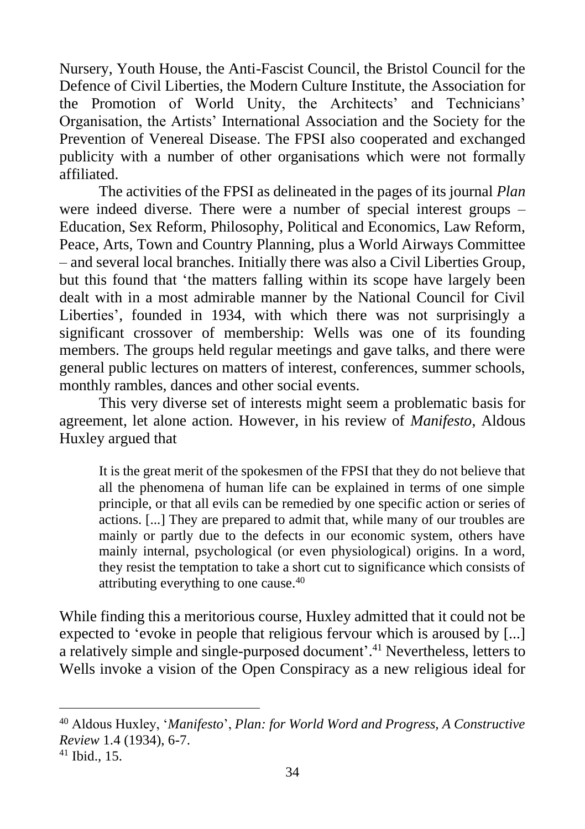Nursery, Youth House, the Anti-Fascist Council, the Bristol Council for the Defence of Civil Liberties, the Modern Culture Institute, the Association for the Promotion of World Unity, the Architects' and Technicians' Organisation, the Artists' International Association and the Society for the Prevention of Venereal Disease. The FPSI also cooperated and exchanged publicity with a number of other organisations which were not formally affiliated.

The activities of the FPSI as delineated in the pages of its journal *Plan* were indeed diverse. There were a number of special interest groups – Education, Sex Reform, Philosophy, Political and Economics, Law Reform, Peace, Arts, Town and Country Planning, plus a World Airways Committee – and several local branches. Initially there was also a Civil Liberties Group, but this found that 'the matters falling within its scope have largely been dealt with in a most admirable manner by the National Council for Civil Liberties', founded in 1934, with which there was not surprisingly a significant crossover of membership: Wells was one of its founding members. The groups held regular meetings and gave talks, and there were general public lectures on matters of interest, conferences, summer schools, monthly rambles, dances and other social events.

This very diverse set of interests might seem a problematic basis for agreement, let alone action. However, in his review of *Manifesto*, Aldous Huxley argued that

It is the great merit of the spokesmen of the FPSI that they do not believe that all the phenomena of human life can be explained in terms of one simple principle, or that all evils can be remedied by one specific action or series of actions. [...] They are prepared to admit that, while many of our troubles are mainly or partly due to the defects in our economic system, others have mainly internal, psychological (or even physiological) origins. In a word, they resist the temptation to take a short cut to significance which consists of attributing everything to one cause.<sup>40</sup>

While finding this a meritorious course, Huxley admitted that it could not be expected to 'evoke in people that religious fervour which is aroused by [...] a relatively simple and single-purposed document'.<sup>41</sup> Nevertheless, letters to Wells invoke a vision of the Open Conspiracy as a new religious ideal for

<sup>40</sup> Aldous Huxley, '*Manifesto*', *Plan: for World Word and Progress, A Constructive Review* 1.4 (1934), 6-7.

<sup>41</sup> Ibid., 15.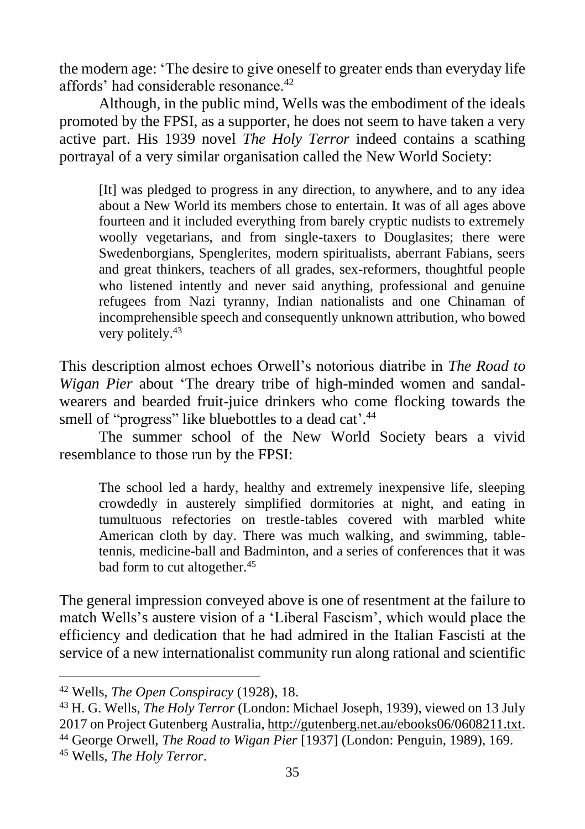the modern age: 'The desire to give oneself to greater ends than everyday life affords' had considerable resonance.<sup>42</sup>

Although, in the public mind, Wells was the embodiment of the ideals promoted by the FPSI, as a supporter, he does not seem to have taken a very active part. His 1939 novel *The Holy Terror* indeed contains a scathing portrayal of a very similar organisation called the New World Society:

[It] was pledged to progress in any direction, to anywhere, and to any idea about a New World its members chose to entertain. It was of all ages above fourteen and it included everything from barely cryptic nudists to extremely woolly vegetarians, and from single-taxers to Douglasites; there were Swedenborgians, Spenglerites, modern spiritualists, aberrant Fabians, seers and great thinkers, teachers of all grades, sex-reformers, thoughtful people who listened intently and never said anything, professional and genuine refugees from Nazi tyranny, Indian nationalists and one Chinaman of incomprehensible speech and consequently unknown attribution, who bowed very politely.<sup>43</sup>

This description almost echoes Orwell's notorious diatribe in *The Road to Wigan Pier* about 'The dreary tribe of high-minded women and sandalwearers and bearded fruit-juice drinkers who come flocking towards the smell of "progress" like bluebottles to a dead cat'.<sup>44</sup>

The summer school of the New World Society bears a vivid resemblance to those run by the FPSI:

The school led a hardy, healthy and extremely inexpensive life, sleeping crowdedly in austerely simplified dormitories at night, and eating in tumultuous refectories on trestle-tables covered with marbled white American cloth by day. There was much walking, and swimming, tabletennis, medicine-ball and Badminton, and a series of conferences that it was bad form to cut altogether.<sup>45</sup>

The general impression conveyed above is one of resentment at the failure to match Wells's austere vision of a 'Liberal Fascism', which would place the efficiency and dedication that he had admired in the Italian Fascisti at the service of a new internationalist community run along rational and scientific

<sup>42</sup> Wells, *The Open Conspiracy* (1928), 18.

<sup>43</sup> H. G. Wells, *The Holy Terror* (London: Michael Joseph, 1939), viewed on 13 July 2017 on Project Gutenberg Australia, [http://gutenberg.net.au/ebooks06/0608211.txt.](http://gutenberg.net.au/ebooks06/0608211.txt) <sup>44</sup> George Orwell, *The Road to Wigan Pier* [1937] (London: Penguin, 1989), 169.

<sup>45</sup> Wells, *The Holy Terror*.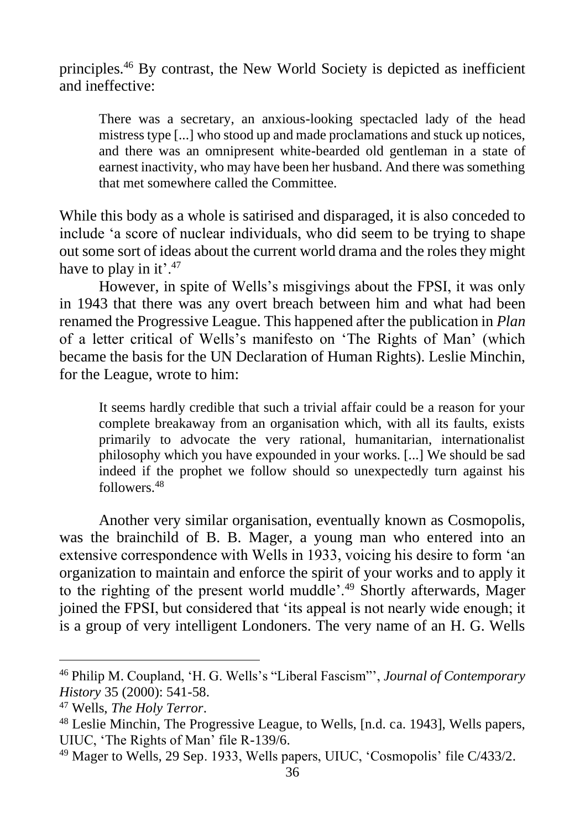principles.<sup>46</sup> By contrast, the New World Society is depicted as inefficient and ineffective:

There was a secretary, an anxious-looking spectacled lady of the head mistress type [...] who stood up and made proclamations and stuck up notices, and there was an omnipresent white-bearded old gentleman in a state of earnest inactivity, who may have been her husband. And there was something that met somewhere called the Committee.

While this body as a whole is satirised and disparaged, it is also conceded to include 'a score of nuclear individuals, who did seem to be trying to shape out some sort of ideas about the current world drama and the roles they might have to play in it'.<sup>47</sup>

However, in spite of Wells's misgivings about the FPSI, it was only in 1943 that there was any overt breach between him and what had been renamed the Progressive League. This happened after the publication in *Plan* of a letter critical of Wells's manifesto on 'The Rights of Man' (which became the basis for the UN Declaration of Human Rights). Leslie Minchin, for the League, wrote to him:

It seems hardly credible that such a trivial affair could be a reason for your complete breakaway from an organisation which, with all its faults, exists primarily to advocate the very rational, humanitarian, internationalist philosophy which you have expounded in your works. [...] We should be sad indeed if the prophet we follow should so unexpectedly turn against his followers.<sup>48</sup>

Another very similar organisation, eventually known as Cosmopolis, was the brainchild of B. B. Mager, a young man who entered into an extensive correspondence with Wells in 1933, voicing his desire to form 'an organization to maintain and enforce the spirit of your works and to apply it to the righting of the present world muddle'.<sup>49</sup> Shortly afterwards, Mager joined the FPSI, but considered that 'its appeal is not nearly wide enough; it is a group of very intelligent Londoners. The very name of an H. G. Wells

<sup>46</sup> Philip M. Coupland, 'H. G. Wells's "Liberal Fascism"', *Journal of Contemporary History* 35 (2000): 541-58.

<sup>47</sup> Wells, *The Holy Terror*.

<sup>48</sup> Leslie Minchin, The Progressive League, to Wells, [n.d. ca. 1943], Wells papers, UIUC, 'The Rights of Man' file R-139/6.

<sup>49</sup> Mager to Wells, 29 Sep. 1933, Wells papers, UIUC, 'Cosmopolis' file C/433/2.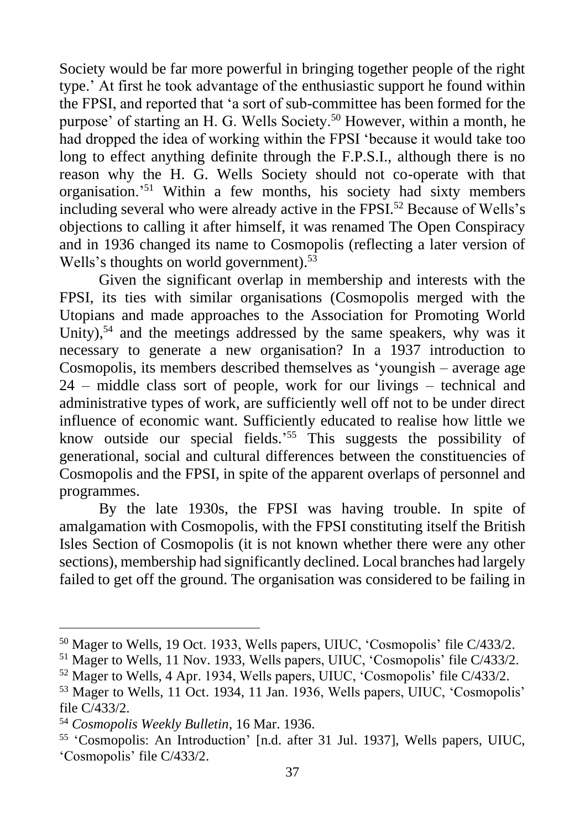Society would be far more powerful in bringing together people of the right type.' At first he took advantage of the enthusiastic support he found within the FPSI, and reported that 'a sort of sub-committee has been formed for the purpose' of starting an H. G. Wells Society.<sup>50</sup> However, within a month, he had dropped the idea of working within the FPSI 'because it would take too long to effect anything definite through the F.P.S.I., although there is no reason why the H. G. Wells Society should not co-operate with that organisation.'<sup>51</sup> Within a few months, his society had sixty members including several who were already active in the FPSI.<sup>52</sup> Because of Wells's objections to calling it after himself, it was renamed The Open Conspiracy and in 1936 changed its name to Cosmopolis (reflecting a later version of Wells's thoughts on world government).<sup>53</sup>

Given the significant overlap in membership and interests with the FPSI, its ties with similar organisations (Cosmopolis merged with the Utopians and made approaches to the Association for Promoting World Unity),<sup>54</sup> and the meetings addressed by the same speakers, why was it necessary to generate a new organisation? In a 1937 introduction to Cosmopolis, its members described themselves as 'youngish – average age 24 – middle class sort of people, work for our livings – technical and administrative types of work, are sufficiently well off not to be under direct influence of economic want. Sufficiently educated to realise how little we know outside our special fields.' <sup>55</sup> This suggests the possibility of generational, social and cultural differences between the constituencies of Cosmopolis and the FPSI, in spite of the apparent overlaps of personnel and programmes.

By the late 1930s, the FPSI was having trouble. In spite of amalgamation with Cosmopolis, with the FPSI constituting itself the British Isles Section of Cosmopolis (it is not known whether there were any other sections), membership had significantly declined. Local branches had largely failed to get off the ground. The organisation was considered to be failing in

<sup>50</sup> Mager to Wells, 19 Oct. 1933, Wells papers, UIUC, 'Cosmopolis' file C/433/2.

<sup>51</sup> Mager to Wells, 11 Nov. 1933, Wells papers, UIUC, 'Cosmopolis' file C/433/2.

<sup>52</sup> Mager to Wells, 4 Apr. 1934, Wells papers, UIUC, 'Cosmopolis' file C/433/2.

<sup>53</sup> Mager to Wells, 11 Oct. 1934, 11 Jan. 1936, Wells papers, UIUC, 'Cosmopolis' file C/433/2.

<sup>54</sup> *Cosmopolis Weekly Bulletin*, 16 Mar. 1936.

<sup>55</sup> 'Cosmopolis: An Introduction' [n.d. after 31 Jul. 1937], Wells papers, UIUC, 'Cosmopolis' file C/433/2.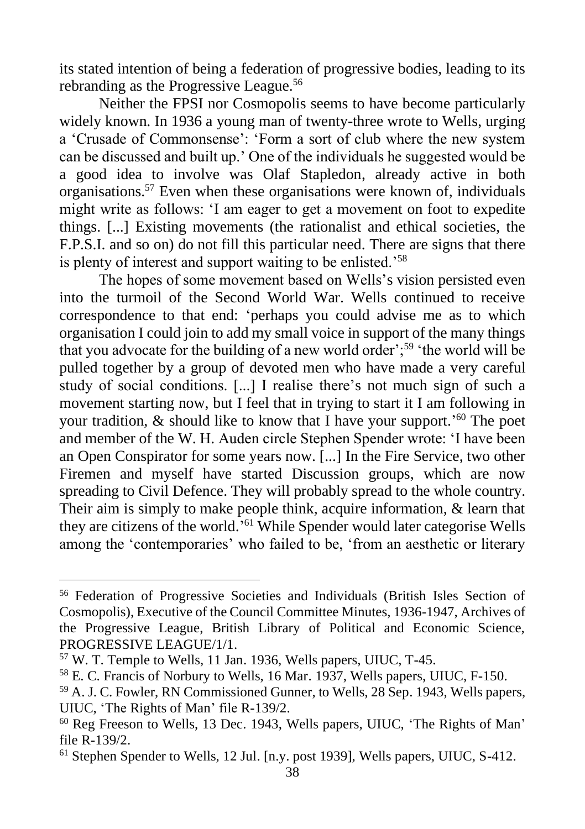its stated intention of being a federation of progressive bodies, leading to its rebranding as the Progressive League.<sup>56</sup>

Neither the FPSI nor Cosmopolis seems to have become particularly widely known. In 1936 a young man of twenty-three wrote to Wells, urging a 'Crusade of Commonsense': 'Form a sort of club where the new system can be discussed and built up.' One of the individuals he suggested would be a good idea to involve was Olaf Stapledon, already active in both organisations.<sup>57</sup> Even when these organisations were known of, individuals might write as follows: 'I am eager to get a movement on foot to expedite things. [...] Existing movements (the rationalist and ethical societies, the F.P.S.I. and so on) do not fill this particular need. There are signs that there is plenty of interest and support waiting to be enlisted.'<sup>58</sup>

The hopes of some movement based on Wells's vision persisted even into the turmoil of the Second World War. Wells continued to receive correspondence to that end: 'perhaps you could advise me as to which organisation I could join to add my small voice in support of the many things that you advocate for the building of a new world order';<sup>59</sup> 'the world will be pulled together by a group of devoted men who have made a very careful study of social conditions. [...] I realise there's not much sign of such a movement starting now, but I feel that in trying to start it I am following in your tradition, & should like to know that I have your support.<sup>'60</sup> The poet and member of the W. H. Auden circle Stephen Spender wrote: 'I have been an Open Conspirator for some years now. [...] In the Fire Service, two other Firemen and myself have started Discussion groups, which are now spreading to Civil Defence. They will probably spread to the whole country. Their aim is simply to make people think, acquire information, & learn that they are citizens of the world.' <sup>61</sup> While Spender would later categorise Wells among the 'contemporaries' who failed to be, 'from an aesthetic or literary

<sup>56</sup> Federation of Progressive Societies and Individuals (British Isles Section of Cosmopolis), Executive of the Council Committee Minutes, 1936-1947, Archives of the Progressive League, British Library of Political and Economic Science, PROGRESSIVE LEAGUE/1/1.

<sup>57</sup> W. T. Temple to Wells, 11 Jan. 1936, Wells papers, UIUC, T-45.

<sup>58</sup> E. C. Francis of Norbury to Wells, 16 Mar. 1937, Wells papers, UIUC, F-150.

<sup>59</sup> A. J. C. Fowler, RN Commissioned Gunner, to Wells, 28 Sep. 1943, Wells papers, UIUC, 'The Rights of Man' file R-139/2.

<sup>60</sup> Reg Freeson to Wells, 13 Dec. 1943, Wells papers, UIUC, 'The Rights of Man' file R-139/2.

<sup>61</sup> Stephen Spender to Wells, 12 Jul. [n.y. post 1939], Wells papers, UIUC, S-412.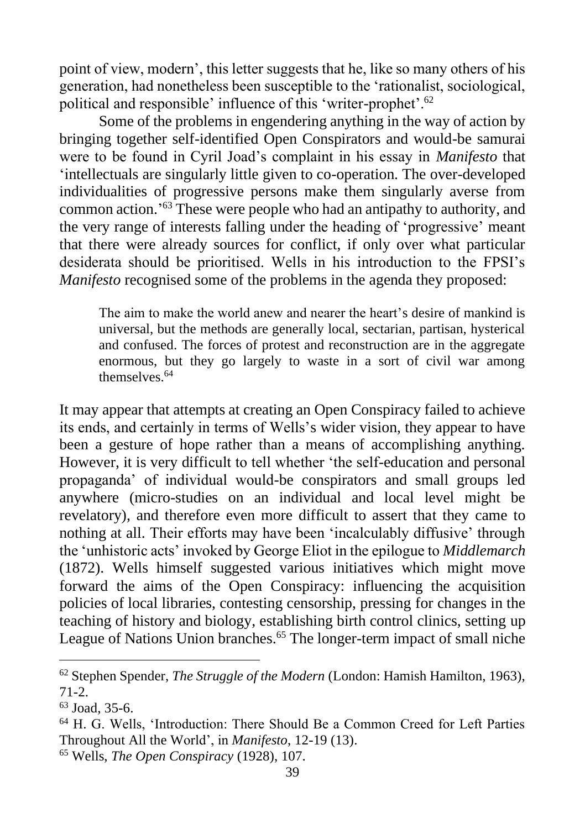point of view, modern', this letter suggests that he, like so many others of his generation, had nonetheless been susceptible to the 'rationalist, sociological, political and responsible' influence of this 'writer-prophet'.<sup>62</sup>

Some of the problems in engendering anything in the way of action by bringing together self-identified Open Conspirators and would-be samurai were to be found in Cyril Joad's complaint in his essay in *Manifesto* that 'intellectuals are singularly little given to co-operation. The over-developed individualities of progressive persons make them singularly averse from common action.' <sup>63</sup> These were people who had an antipathy to authority, and the very range of interests falling under the heading of 'progressive' meant that there were already sources for conflict, if only over what particular desiderata should be prioritised. Wells in his introduction to the FPSI's *Manifesto* recognised some of the problems in the agenda they proposed:

The aim to make the world anew and nearer the heart's desire of mankind is universal, but the methods are generally local, sectarian, partisan, hysterical and confused. The forces of protest and reconstruction are in the aggregate enormous, but they go largely to waste in a sort of civil war among themselves<sup>64</sup>

It may appear that attempts at creating an Open Conspiracy failed to achieve its ends, and certainly in terms of Wells's wider vision, they appear to have been a gesture of hope rather than a means of accomplishing anything. However, it is very difficult to tell whether 'the self-education and personal propaganda' of individual would-be conspirators and small groups led anywhere (micro-studies on an individual and local level might be revelatory), and therefore even more difficult to assert that they came to nothing at all. Their efforts may have been 'incalculably diffusive' through the 'unhistoric acts' invoked by George Eliot in the epilogue to *Middlemarch* (1872). Wells himself suggested various initiatives which might move forward the aims of the Open Conspiracy: influencing the acquisition policies of local libraries, contesting censorship, pressing for changes in the teaching of history and biology, establishing birth control clinics, setting up League of Nations Union branches.<sup>65</sup> The longer-term impact of small niche

<sup>62</sup> Stephen Spender, *The Struggle of the Modern* (London: Hamish Hamilton, 1963), 71-2.

<sup>63</sup> Joad, 35-6.

<sup>64</sup> H. G. Wells, 'Introduction: There Should Be a Common Creed for Left Parties Throughout All the World', in *Manifesto*, 12-19 (13).

<sup>65</sup> Wells, *The Open Conspiracy* (1928), 107.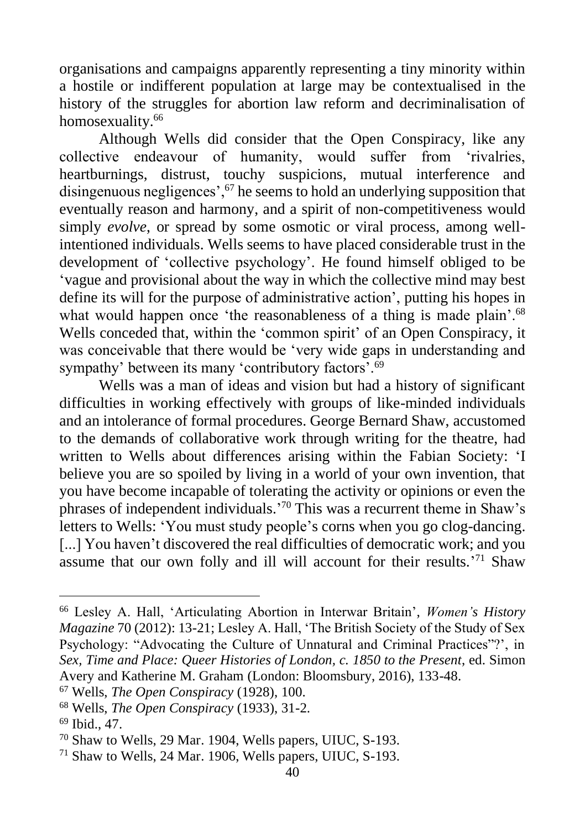organisations and campaigns apparently representing a tiny minority within a hostile or indifferent population at large may be contextualised in the history of the struggles for abortion law reform and decriminalisation of homosexuality.<sup>66</sup>

Although Wells did consider that the Open Conspiracy, like any collective endeavour of humanity, would suffer from 'rivalries, heartburnings, distrust, touchy suspicions, mutual interference and disingenuous negligences', $67$  he seems to hold an underlying supposition that eventually reason and harmony, and a spirit of non-competitiveness would simply *evolve*, or spread by some osmotic or viral process, among wellintentioned individuals. Wells seems to have placed considerable trust in the development of 'collective psychology'. He found himself obliged to be 'vague and provisional about the way in which the collective mind may best define its will for the purpose of administrative action', putting his hopes in what would happen once 'the reasonableness of a thing is made plain'.<sup>68</sup> Wells conceded that, within the 'common spirit' of an Open Conspiracy, it was conceivable that there would be 'very wide gaps in understanding and sympathy' between its many 'contributory factors'.<sup>69</sup>

Wells was a man of ideas and vision but had a history of significant difficulties in working effectively with groups of like-minded individuals and an intolerance of formal procedures. George Bernard Shaw, accustomed to the demands of collaborative work through writing for the theatre, had written to Wells about differences arising within the Fabian Society: 'I believe you are so spoiled by living in a world of your own invention, that you have become incapable of tolerating the activity or opinions or even the phrases of independent individuals.' <sup>70</sup> This was a recurrent theme in Shaw's letters to Wells: 'You must study people's corns when you go clog-dancing. [...] You haven't discovered the real difficulties of democratic work; and you assume that our own folly and ill will account for their results.<sup>'71</sup> Shaw

<sup>66</sup> Lesley A. Hall, 'Articulating Abortion in Interwar Britain', *Women's History Magazine* 70 (2012): 13-21; Lesley A. Hall, 'The British Society of the Study of Sex Psychology: "Advocating the Culture of Unnatural and Criminal Practices"?', in *Sex, Time and Place: Queer Histories of London, c. 1850 to the Present*, ed. Simon Avery and Katherine M. Graham (London: Bloomsbury, 2016), 133-48.

<sup>67</sup> Wells, *The Open Conspiracy* (1928), 100.

<sup>68</sup> Wells, *The Open Conspiracy* (1933), 31-2.

<sup>69</sup> Ibid., 47.

<sup>70</sup> Shaw to Wells, 29 Mar. 1904, Wells papers, UIUC, S-193.

<sup>71</sup> Shaw to Wells, 24 Mar. 1906, Wells papers, UIUC, S-193.